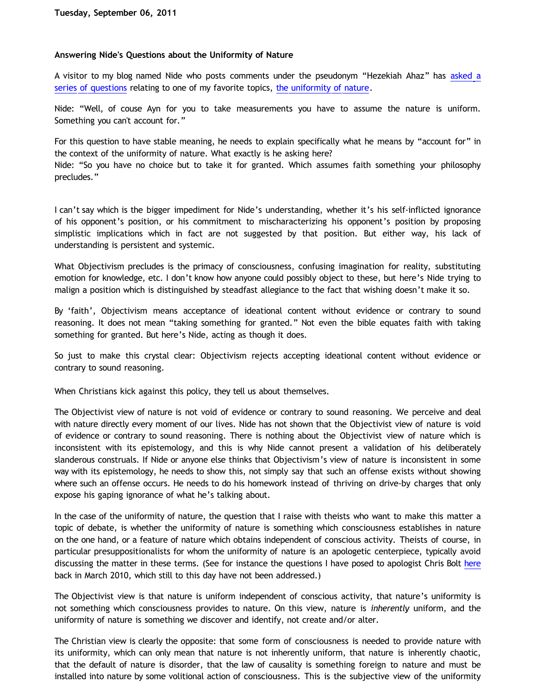## **Answering Nide's Questions about the Uniformity of Nature**

A visitor to my blog named Nide who posts comments under the pseudonym "Hezekiah Ahaz" has [asked a](http://bahnsenburner.blogspot.com/2011/08/stb-one-year-and-still-waiting.html) [series of questions](http://bahnsenburner.blogspot.com/2011/08/stb-one-year-and-still-waiting.html) relating to one of my favorite topics, [the uniformity of nature.](http://katholon.com/Induction.htm)

Nide: "Well, of couse Ayn for you to take measurements you have to assume the nature is uniform. Something you can't account for."

For this question to have stable meaning, he needs to explain specifically what he means by "account for" in the context of the uniformity of nature. What exactly is he asking here?

Nide: "So you have no choice but to take it for granted. Which assumes faith something your philosophy precludes."

I can't say which is the bigger impediment for Nide's understanding, whether it's his self-inflicted ignorance of his opponent's position, or his commitment to mischaracterizing his opponent's position by proposing simplistic implications which in fact are not suggested by that position. But either way, his lack of understanding is persistent and systemic.

What Objectivism precludes is the primacy of consciousness, confusing imagination for reality, substituting emotion for knowledge, etc. I don't know how anyone could possibly object to these, but here's Nide trying to malign a position which is distinguished by steadfast allegiance to the fact that wishing doesn't make it so.

By 'faith', Objectivism means acceptance of ideational content without evidence or contrary to sound reasoning. It does not mean "taking something for granted." Not even the bible equates faith with taking something for granted. But here's Nide, acting as though it does.

So just to make this crystal clear: Objectivism rejects accepting ideational content without evidence or contrary to sound reasoning.

When Christians kick against this policy, they tell us about themselves.

The Objectivist view of nature is not void of evidence or contrary to sound reasoning. We perceive and deal with nature directly every moment of our lives. Nide has not shown that the Objectivist view of nature is void of evidence or contrary to sound reasoning. There is nothing about the Objectivist view of nature which is inconsistent with its epistemology, and this is why Nide cannot present a validation of his deliberately slanderous construals. If Nide or anyone else thinks that Objectivism's view of nature is inconsistent in some way with its epistemology, he needs to show this, not simply say that such an offense exists without showing where such an offense occurs. He needs to do his homework instead of thriving on drive-by charges that only expose his gaping ignorance of what he's talking about.

In the case of the uniformity of nature, the question that I raise with theists who want to make this matter a topic of debate, is whether the uniformity of nature is something which consciousness establishes in nature on the one hand, or a feature of nature which obtains independent of conscious activity. Theists of course, in particular presuppositionalists for whom the uniformity of nature is an apologetic centerpiece, typically avoid discussing the matter in these terms. (See for instance the questions I have posed to apologist Chris Bolt [here](http://katholon.com/Bolts-Pile-of-Knapp.htm) back in March 2010, which still to this day have not been addressed.)

The Objectivist view is that nature is uniform independent of conscious activity, that nature's uniformity is not something which consciousness provides to nature. On this view, nature is *inherently* uniform, and the uniformity of nature is something we discover and identify, not create and/or alter.

The Christian view is clearly the opposite: that some form of consciousness is needed to provide nature with its uniformity, which can only mean that nature is not inherently uniform, that nature is inherently chaotic, that the default of nature is disorder, that the law of causality is something foreign to nature and must be installed into nature by some volitional action of consciousness. This is the subjective view of the uniformity